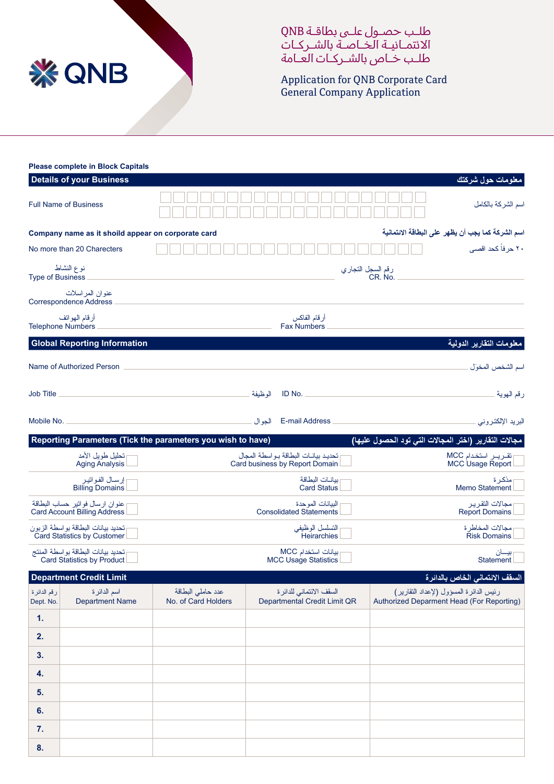

طلـب حصـول علـى بطاقـة QNB االئتمـانيـة الخـاصـة بالشـر كـات طلـب خـاص بالشـر كـات العـامة

Application for QNB Corporate Card **General Company Application** 

|                          | <b>Please complete in Block Capitals</b>                               |                                                                                               |          |                                                                      |  |                                                                                     |  |
|--------------------------|------------------------------------------------------------------------|-----------------------------------------------------------------------------------------------|----------|----------------------------------------------------------------------|--|-------------------------------------------------------------------------------------|--|
|                          | <b>Details of your Business</b>                                        |                                                                                               |          |                                                                      |  | معلومات حول شركتك                                                                   |  |
|                          | <b>Full Name of Business</b>                                           |                                                                                               |          |                                                                      |  | اسم الشركة بالكامل                                                                  |  |
|                          | Company name as it shoild appear on corporate card                     |                                                                                               |          |                                                                      |  | اسم الشركة كما يجب أن يظهر على البطاقة الائتمانية                                   |  |
|                          | No more than 20 Charecters                                             |                                                                                               |          |                                                                      |  | ۲۰ حر فاً کحد اقصی                                                                  |  |
| <b>Type of Business</b>  | نوع النشاط                                                             |                                                                                               |          | رقم السجل التجاري<br>.CR. No                                         |  |                                                                                     |  |
|                          | عنوان المراسلات<br><b>Correspondence Address</b>                       |                                                                                               |          |                                                                      |  |                                                                                     |  |
|                          | أرقام الهواتف<br><b>Telephone Numbers</b>                              |                                                                                               |          | أرقام الفاكس<br><b>Fax Numbers</b>                                   |  |                                                                                     |  |
|                          | <b>Global Reporting Information</b>                                    |                                                                                               |          |                                                                      |  | معلومات التقارير الدولية                                                            |  |
|                          | Name of Authorized Person                                              |                                                                                               |          |                                                                      |  | اسم الشخص المخوَل                                                                   |  |
| <b>Job Title</b>         |                                                                        |                                                                                               | الو ظبفة | ID No. $\qquad$                                                      |  | رقم الهوية                                                                          |  |
| Mobile No.               |                                                                        |                                                                                               |          |                                                                      |  | البريد الإلكتروني                                                                   |  |
|                          |                                                                        | Reporting Parameters (Tick the parameters you wish to have)                                   |          |                                                                      |  | مجالات التقارير (اختر المجالات التي تود الحصول عليها)                               |  |
|                          | تحليل طويل الأمد<br><b>Aging Analysis</b>                              |                                                                                               |          | تحديد بيانات البطاقة بواسطة المجال<br>Card business by Report Domain |  | تقرير استخدام MCC<br>MCC Usage Report                                               |  |
|                          | إرسال الفواتير<br><b>Billing Domains</b>                               | ببانــات البطاقة<br>مذكر ة<br><b>Card Status</b><br>Memo Statement                            |          |                                                                      |  |                                                                                     |  |
|                          | عنوان ارسال فوانير حساب البطاقة<br><b>Card Account Billing Address</b> | البيانات الموحدة<br>مجالات النقرير<br><b>Consolidated Statements</b><br><b>Report Domains</b> |          |                                                                      |  |                                                                                     |  |
|                          | تحديد بيانات البطاقة بواسطة الزبون<br>Card Statistics by Customer      | التسلسل الوظيفي<br>مجالات المخاطر ة<br><b>Heirarchies</b><br><b>Risk Domains</b>              |          |                                                                      |  |                                                                                     |  |
|                          | تحديد بيانات البطاقة بواسطة المنتج<br>Card Statistics by Product       | ببانات استخدام MCC<br>بیـــان<br>Statement<br><b>MCC Usage Statistics</b>                     |          |                                                                      |  |                                                                                     |  |
|                          | <b>Department Credit Limit</b>                                         |                                                                                               |          |                                                                      |  | السقف الانتماني الخاص بالدائرة                                                      |  |
| رقم الدائرة<br>Dept. No. | اسم الدائر ۃ<br><b>Department Name</b>                                 | عدد حاملي البطاقة<br>No. of Card Holders                                                      |          | السقف الائتمانى للدائرة<br>Departmental Credit Limit QR              |  | رئيس الدائرة المسؤول (لإعداد النقارير)<br>Authorized Deparment Head (For Reporting) |  |
| 1.                       |                                                                        |                                                                                               |          |                                                                      |  |                                                                                     |  |
| 2.                       |                                                                        |                                                                                               |          |                                                                      |  |                                                                                     |  |
| 3.                       |                                                                        |                                                                                               |          |                                                                      |  |                                                                                     |  |
| 4.                       |                                                                        |                                                                                               |          |                                                                      |  |                                                                                     |  |
| 5.                       |                                                                        |                                                                                               |          |                                                                      |  |                                                                                     |  |
| 6.                       |                                                                        |                                                                                               |          |                                                                      |  |                                                                                     |  |
| 7.                       |                                                                        |                                                                                               |          |                                                                      |  |                                                                                     |  |
| 8.                       |                                                                        |                                                                                               |          |                                                                      |  |                                                                                     |  |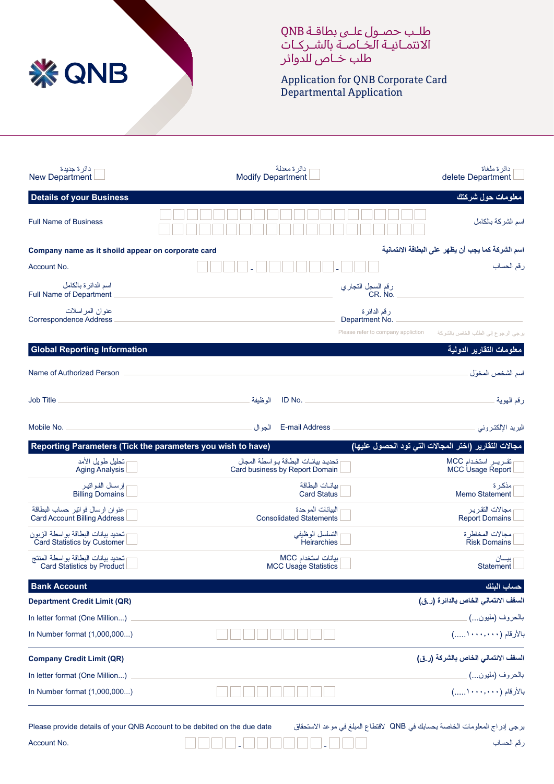

طلـب حصـول علـى بطاقـة QNB االئتمـانيـة الخـاصـة بالشـر كـات طلب خـاص للدوائر

Application for QNB Corporate Card Departmental Application

| دائر ۃ جدیدۃ<br><b>New Department</b>                                   | دائر ة معدلة<br><b>Modify Department</b>                             | دائر ة ملغاة<br>delete Department                     |
|-------------------------------------------------------------------------|----------------------------------------------------------------------|-------------------------------------------------------|
| <b>Details of your Business</b>                                         |                                                                      | معلومات حول شركتك                                     |
| <b>Full Name of Business</b>                                            |                                                                      | اسم الشركة بالكامل                                    |
| Company name as it shoild appear on corporate card                      |                                                                      | اسم الشركة كما يجب أن يظهر على البطاقة الائتمانية     |
| Account No.                                                             |                                                                      | رقم الحساب                                            |
| اسم الدائرة بالكامل<br>Full Name of Department                          | رقم السجل التجاري<br>.CR. No                                         |                                                       |
| عنو ان المر اسلات<br><b>Correspondence Address</b>                      | رقم الدائر ة<br>Department No.                                       |                                                       |
|                                                                         | Please refer to company appliction                                   | يرجى الرجوع إلى الطلب الخاص بالشركة                   |
| <b>Global Reporting Information</b>                                     |                                                                      | معلومات التقارير الدولية                              |
| Name of Authorized Person                                               |                                                                      | اسم الشخص المخوَل                                     |
| <b>Job Title</b>                                                        | الو ظبفة<br>ID No. $\_\_$                                            | رقم الهوية                                            |
|                                                                         |                                                                      | البريد الإلكتروني                                     |
|                                                                         | Reporting Parameters (Tick the parameters you wish to have)          | مجالات التقارير (اختر المجالات التي تود الحصول عليها) |
| تحليل طويل الأمد<br><b>Aging Analysis</b>                               | تحديد بيانات البطاقة بواسطة المجال<br>Card business by Report Domain | تقرير استخدام MCC<br>MCC Usage Report                 |
| إرسال الفواتير<br><b>Billing Domains</b>                                | ببانــات البطاقة<br><b>Card Status</b>                               | مذكر ة<br><b>Memo Statement</b>                       |
| عنوان ارسال فوانير حساب البطاقة<br><b>Card Account Billing Address</b>  | البيانات الموحدة                                                     |                                                       |
|                                                                         | <b>Consolidated Statements</b>                                       | مجالات التقرير<br><b>Report Domains</b>               |
| تحديد بيانات البطاقة بواسطة الزبون<br>Card Statistics by Customer       | التسلسل الوظيفي<br>Heirarchies                                       | مجالات المخاطرة<br><b>Risk Domains</b>                |
| تحديد بيانات البطاقة بواسطة المنتج<br><b>Card Statistics by Product</b> | بيانات استخدام MCC<br><b>MCC Usage Statistics</b>                    | بيـــان<br><b>Statement</b>                           |
| <b>Bank Account</b>                                                     |                                                                      | حساب الننك                                            |
| <b>Department Credit Limit (QR)</b>                                     |                                                                      | السقف الائتماني الخاص بالدائرة (ر.ق)                  |
| In letter format (One Million)                                          |                                                                      | بالحروف (مليون) ______                                |
| In Number format (1,000,000)                                            |                                                                      | بالأرقام (١٠٠٠, ١٠٠٠)                                 |
| <b>Company Credit Limit (QR)</b>                                        |                                                                      | السقف الانتماني الخاص بالشركة (ر.ق)                   |
| In letter format (One Million)                                          |                                                                      | بالحروف (مليون…) ______                               |
| In Number format (1,000,000)                                            |                                                                      | بالأرقام (١٠٠٠,٠٠٠)                                   |

يرجى إدراج المعلومات الخاصة بحسابك في QNB القتطاع المبلغ في موعد االستحقاق date due the on debited be to Account QNB your of details provide Please

.No Account - - رقم الحساب